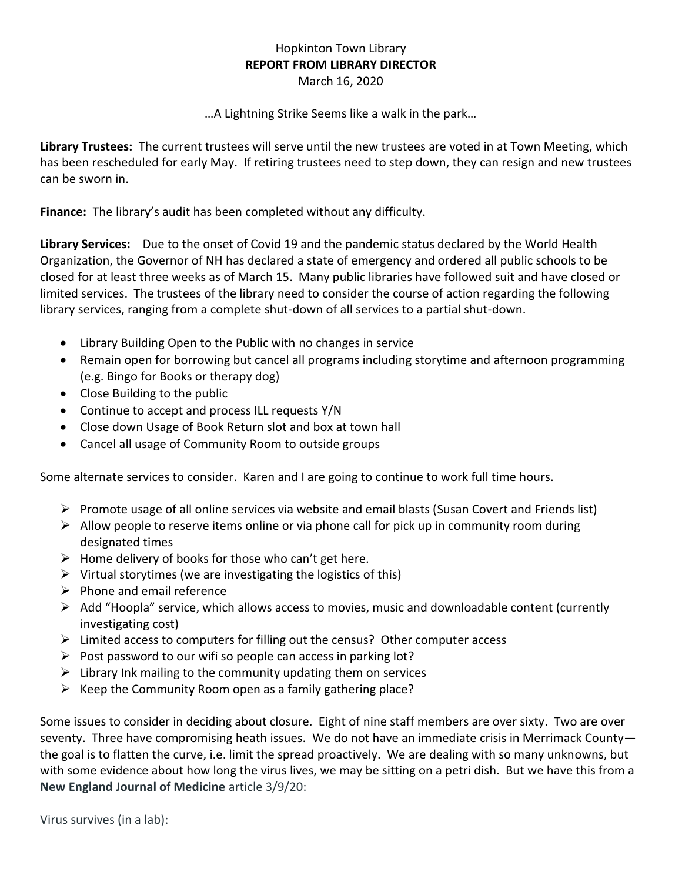## Hopkinton Town Library **REPORT FROM LIBRARY DIRECTOR** March 16, 2020

…A Lightning Strike Seems like a walk in the park…

**Library Trustees:** The current trustees will serve until the new trustees are voted in at Town Meeting, which has been rescheduled for early May. If retiring trustees need to step down, they can resign and new trustees can be sworn in.

**Finance:** The library's audit has been completed without any difficulty.

**Library Services:** Due to the onset of Covid 19 and the pandemic status declared by the World Health Organization, the Governor of NH has declared a state of emergency and ordered all public schools to be closed for at least three weeks as of March 15. Many public libraries have followed suit and have closed or limited services. The trustees of the library need to consider the course of action regarding the following library services, ranging from a complete shut-down of all services to a partial shut-down.

- Library Building Open to the Public with no changes in service
- Remain open for borrowing but cancel all programs including storytime and afternoon programming (e.g. Bingo for Books or therapy dog)
- Close Building to the public
- Continue to accept and process ILL requests Y/N
- Close down Usage of Book Return slot and box at town hall
- Cancel all usage of Community Room to outside groups

Some alternate services to consider. Karen and I are going to continue to work full time hours.

- ➢ Promote usage of all online services via website and email blasts (Susan Covert and Friends list)
- $\triangleright$  Allow people to reserve items online or via phone call for pick up in community room during designated times
- $\triangleright$  Home delivery of books for those who can't get here.
- $\triangleright$  Virtual storytimes (we are investigating the logistics of this)
- $\triangleright$  Phone and email reference
- $\triangleright$  Add "Hoopla" service, which allows access to movies, music and downloadable content (currently investigating cost)
- $\triangleright$  Limited access to computers for filling out the census? Other computer access
- $\triangleright$  Post password to our wifi so people can access in parking lot?
- $\triangleright$  Library Ink mailing to the community updating them on services
- $\triangleright$  Keep the Community Room open as a family gathering place?

Some issues to consider in deciding about closure. Eight of nine staff members are over sixty. Two are over seventy. Three have compromising heath issues. We do not have an immediate crisis in Merrimack County the goal is to flatten the curve, i.e. limit the spread proactively. We are dealing with so many unknowns, but with some evidence about how long the virus lives, we may be sitting on a petri dish. But we have this from a **New England Journal of Medicine** article 3/9/20: